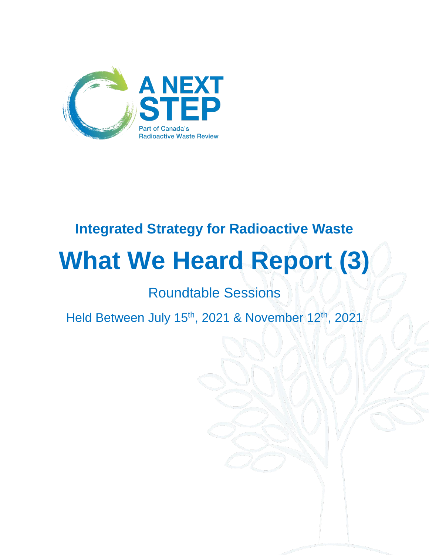

## **Integrated Strategy for Radioactive Waste**

# **What We Heard Report (3)**

Roundtable Sessions

Held Between July 15<sup>th</sup>, 2021 & November 12<sup>th</sup>, 2021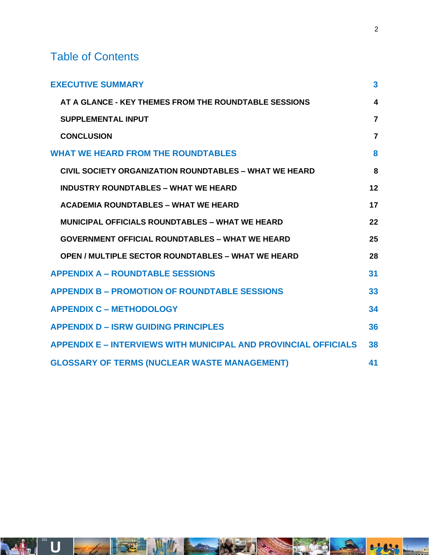### Table of Contents

| <b>EXECUTIVE SUMMARY</b>                                               | $\mathbf{3}$            |
|------------------------------------------------------------------------|-------------------------|
| AT A GLANCE - KEY THEMES FROM THE ROUNDTABLE SESSIONS                  | $\overline{\mathbf{4}}$ |
| <b>SUPPLEMENTAL INPUT</b>                                              | $\overline{7}$          |
| <b>CONCLUSION</b>                                                      | $\overline{7}$          |
| <b>WHAT WE HEARD FROM THE ROUNDTABLES</b>                              | 8                       |
| <b>CIVIL SOCIETY ORGANIZATION ROUNDTABLES – WHAT WE HEARD</b>          | 8                       |
| <b>INDUSTRY ROUNDTABLES - WHAT WE HEARD</b>                            | 12                      |
| <b>ACADEMIA ROUNDTABLES - WHAT WE HEARD</b>                            | 17                      |
| <b>MUNICIPAL OFFICIALS ROUNDTABLES - WHAT WE HEARD</b>                 | 22                      |
| <b>GOVERNMENT OFFICIAL ROUNDTABLES – WHAT WE HEARD</b>                 | 25                      |
| <b>OPEN / MULTIPLE SECTOR ROUNDTABLES - WHAT WE HEARD</b>              | 28                      |
| <b>APPENDIX A - ROUNDTABLE SESSIONS</b>                                | 31                      |
| <b>APPENDIX B - PROMOTION OF ROUNDTABLE SESSIONS</b>                   | 33                      |
| <b>APPENDIX C - METHODOLOGY</b>                                        | 34                      |
| <b>APPENDIX D - ISRW GUIDING PRINCIPLES</b>                            | 36                      |
| <b>APPENDIX E - INTERVIEWS WITH MUNICIPAL AND PROVINCIAL OFFICIALS</b> | 38                      |
| <b>GLOSSARY OF TERMS (NUCLEAR WASTE MANAGEMENT)</b>                    | 41                      |

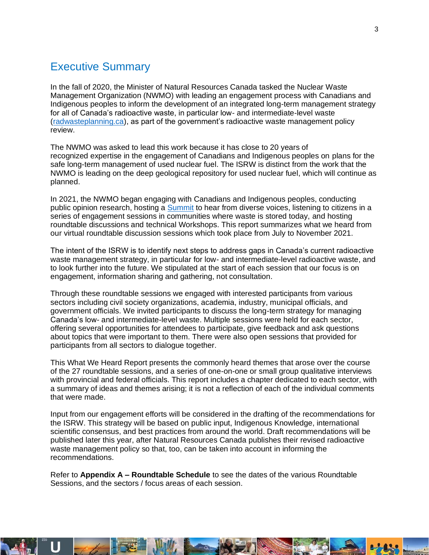### <span id="page-2-0"></span>Executive Summary

In the fall of 2020, the Minister of Natural Resources Canada tasked the Nuclear Waste Management Organization (NWMO) with leading an engagement process with Canadians and Indigenous peoples to inform the development of an integrated long-term management strategy for all of Canada's radioactive waste, in particular low- and intermediate-level waste [\(radwasteplanning.ca\)](https://radwasteplanning.ca/), as part of the government's radioactive waste management policy review.

The NWMO was asked to lead this work because it has close to 20 years of recognized expertise in the engagement of Canadians and Indigenous peoples on plans for the safe long-term management of used nuclear fuel. The ISRW is distinct from the work that the NWMO is leading on the deep geological repository for used nuclear fuel, which will continue as planned.

In 2021, the NWMO began engaging with Canadians and Indigenous peoples, conducting public opinion research, hosting a [Summit](https://radwasteplanning.ca/engagement-initiatives/canadian-radioactive-waste-summit) to hear from diverse voices, listening to citizens in a series of engagement sessions in communities where waste is stored today, and hosting roundtable discussions and technical Workshops. This report summarizes what we heard from our virtual roundtable discussion sessions which took place from July to November 2021.

The intent of the ISRW is to identify next steps to address gaps in Canada's current radioactive waste management strategy, in particular for low- and intermediate-level radioactive waste, and to look further into the future. We stipulated at the start of each session that our focus is on engagement, information sharing and gathering, not consultation.

Through these roundtable sessions we engaged with interested participants from various sectors including civil society organizations, academia, industry, municipal officials, and government officials. We invited participants to discuss the long-term strategy for managing Canada's low- and intermediate-level waste. Multiple sessions were held for each sector, offering several opportunities for attendees to participate, give feedback and ask questions about topics that were important to them. There were also open sessions that provided for participants from all sectors to dialogue together.

This What We Heard Report presents the commonly heard themes that arose over the course of the 27 roundtable sessions, and a series of one-on-one or small group qualitative interviews with provincial and federal officials. This report includes a chapter dedicated to each sector, with a summary of ideas and themes arising; it is not a reflection of each of the individual comments that were made.

Input from our engagement efforts will be considered in the drafting of the recommendations for the ISRW. This strategy will be based on public input, Indigenous Knowledge, international scientific consensus, and best practices from around the world. Draft recommendations will be published later this year, after Natural Resources Canada publishes their revised radioactive waste management policy so that, too, can be taken into account in informing the recommendations.

Refer to **Appendix A – Roundtable Schedule** to see the dates of the various Roundtable Sessions, and the sectors / focus areas of each session.

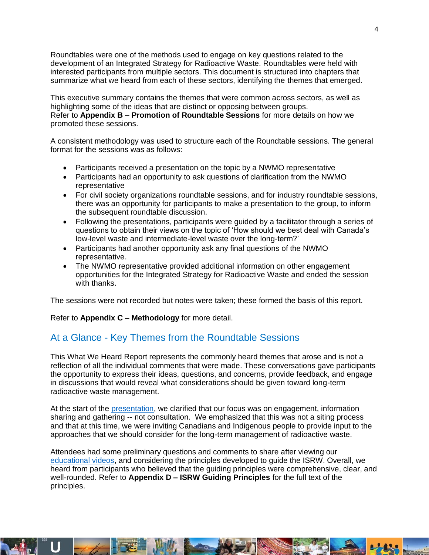Roundtables were one of the methods used to engage on key questions related to the development of an Integrated Strategy for Radioactive Waste. Roundtables were held with interested participants from multiple sectors. This document is structured into chapters that summarize what we heard from each of these sectors, identifying the themes that emerged.

This executive summary contains the themes that were common across sectors, as well as highlighting some of the ideas that are distinct or opposing between groups. Refer to **Appendix B – Promotion of Roundtable Sessions** for more details on how we promoted these sessions.

A consistent methodology was used to structure each of the Roundtable sessions. The general format for the sessions was as follows:

- Participants received a presentation on the topic by a NWMO representative
- Participants had an opportunity to ask questions of clarification from the NWMO representative
- For civil society organizations roundtable sessions, and for industry roundtable sessions, there was an opportunity for participants to make a presentation to the group, to inform the subsequent roundtable discussion.
- Following the presentations, participants were guided by a facilitator through a series of questions to obtain their views on the topic of 'How should we best deal with Canada's low-level waste and intermediate-level waste over the long-term?'
- Participants had another opportunity ask any final questions of the NWMO representative.
- The NWMO representative provided additional information on other engagement opportunities for the Integrated Strategy for Radioactive Waste and ended the session with thanks.

The sessions were not recorded but notes were taken; these formed the basis of this report.

Refer to **Appendix C – Methodology** for more detail.

#### <span id="page-3-0"></span>At a Glance - Key Themes from the Roundtable Sessions

This What We Heard Report represents the commonly heard themes that arose and is not a reflection of all the individual comments that were made. These conversations gave participants the opportunity to express their ideas, questions, and concerns, provide feedback, and engage in discussions that would reveal what considerations should be given toward long-term radioactive waste management.

At the start of the [presentation,](https://radwasteplanning.ca/sites/default/files/isrw_roundtable_presentation_en_with_fr_subtitles.pdf) we clarified that our focus was on engagement, information sharing and gathering -- not consultation. We emphasized that this was not a siting process and that at this time, we were inviting Canadians and Indigenous people to provide input to the approaches that we should consider for the long-term management of radioactive waste.

Attendees had some preliminary questions and comments to share after viewing our [educational videos,](https://www.youtube.com/channel/UCdWFfSWWpf9_ReBY_w9Q15Q) and considering the principles developed to guide the ISRW. Overall, we heard from participants who believed that the guiding principles were comprehensive, clear, and well-rounded. Refer to **Appendix D – ISRW Guiding Principles** for the full text of the principles.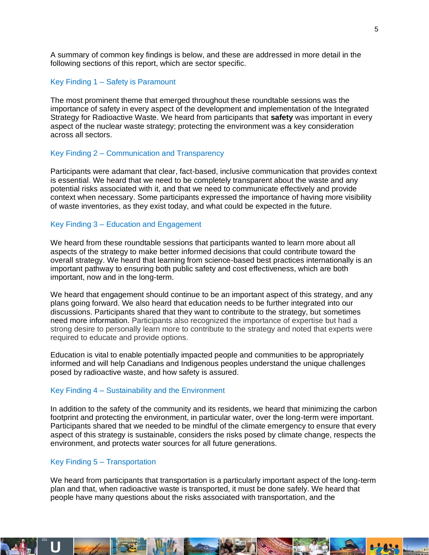A summary of common key findings is below, and these are addressed in more detail in the following sections of this report, which are sector specific.

#### Key Finding 1 – Safety is Paramount

The most prominent theme that emerged throughout these roundtable sessions was the importance of safety in every aspect of the development and implementation of the Integrated Strategy for Radioactive Waste. We heard from participants that **safety** was important in every aspect of the nuclear waste strategy; protecting the environment was a key consideration across all sectors.

#### Key Finding 2 – Communication and Transparency

Participants were adamant that clear, fact-based, inclusive communication that provides context is essential. We heard that we need to be completely transparent about the waste and any potential risks associated with it, and that we need to communicate effectively and provide context when necessary. Some participants expressed the importance of having more visibility of waste inventories, as they exist today, and what could be expected in the future.

#### Key Finding 3 – Education and Engagement

We heard from these roundtable sessions that participants wanted to learn more about all aspects of the strategy to make better informed decisions that could contribute toward the overall strategy. We heard that learning from science-based best practices internationally is an important pathway to ensuring both public safety and cost effectiveness, which are both important, now and in the long-term.

We heard that engagement should continue to be an important aspect of this strategy, and any plans going forward. We also heard that education needs to be further integrated into our discussions. Participants shared that they want to contribute to the strategy, but sometimes need more information. Participants also recognized the importance of expertise but had a strong desire to personally learn more to contribute to the strategy and noted that experts were required to educate and provide options.

Education is vital to enable potentially impacted people and communities to be appropriately informed and will help Canadians and Indigenous peoples understand the unique challenges posed by radioactive waste, and how safety is assured.

#### Key Finding 4 – Sustainability and the Environment

In addition to the safety of the community and its residents, we heard that minimizing the carbon footprint and protecting the environment, in particular water, over the long-term were important. Participants shared that we needed to be mindful of the climate emergency to ensure that every aspect of this strategy is sustainable, considers the risks posed by climate change, respects the environment, and protects water sources for all future generations.

#### Key Finding 5 – Transportation

We heard from participants that transportation is a particularly important aspect of the long-term plan and that, when radioactive waste is transported, it must be done safely. We heard that people have many questions about the risks associated with transportation, and the

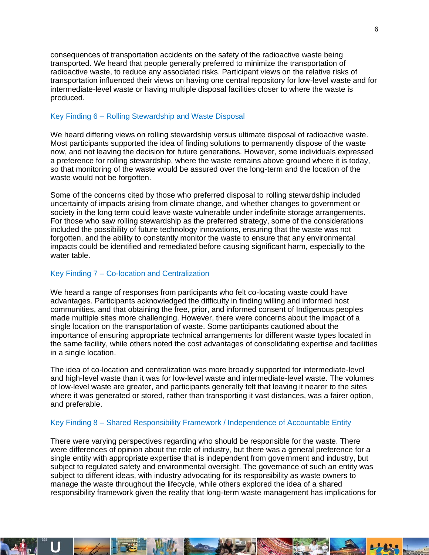consequences of transportation accidents on the safety of the radioactive waste being transported. We heard that people generally preferred to minimize the transportation of radioactive waste, to reduce any associated risks. Participant views on the relative risks of transportation influenced their views on having one central repository for low-level waste and for intermediate-level waste or having multiple disposal facilities closer to where the waste is produced.

#### Key Finding 6 – Rolling Stewardship and Waste Disposal

We heard differing views on rolling stewardship versus ultimate disposal of radioactive waste. Most participants supported the idea of finding solutions to permanently dispose of the waste now, and not leaving the decision for future generations. However, some individuals expressed a preference for rolling stewardship, where the waste remains above ground where it is today, so that monitoring of the waste would be assured over the long-term and the location of the waste would not be forgotten.

Some of the concerns cited by those who preferred disposal to rolling stewardship included uncertainty of impacts arising from climate change, and whether changes to government or society in the long term could leave waste vulnerable under indefinite storage arrangements. For those who saw rolling stewardship as the preferred strategy, some of the considerations included the possibility of future technology innovations, ensuring that the waste was not forgotten, and the ability to constantly monitor the waste to ensure that any environmental impacts could be identified and remediated before causing significant harm, especially to the water table.

#### Key Finding 7 – Co-location and Centralization

We heard a range of responses from participants who felt co-locating waste could have advantages. Participants acknowledged the difficulty in finding willing and informed host communities, and that obtaining the free, prior, and informed consent of Indigenous peoples made multiple sites more challenging. However, there were concerns about the impact of a single location on the transportation of waste. Some participants cautioned about the importance of ensuring appropriate technical arrangements for different waste types located in the same facility, while others noted the cost advantages of consolidating expertise and facilities in a single location.

The idea of co-location and centralization was more broadly supported for intermediate-level and high-level waste than it was for low-level waste and intermediate-level waste. The volumes of low-level waste are greater, and participants generally felt that leaving it nearer to the sites where it was generated or stored, rather than transporting it vast distances, was a fairer option, and preferable.

#### Key Finding 8 – Shared Responsibility Framework / Independence of Accountable Entity

There were varying perspectives regarding who should be responsible for the waste. There were differences of opinion about the role of industry, but there was a general preference for a single entity with appropriate expertise that is independent from government and industry, but subject to regulated safety and environmental oversight. The governance of such an entity was subject to different ideas, with industry advocating for its responsibility as waste owners to manage the waste throughout the lifecycle, while others explored the idea of a shared responsibility framework given the reality that long-term waste management has implications for

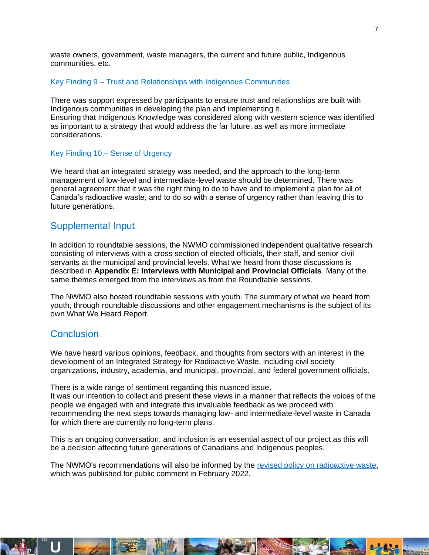waste owners, government, waste managers, the current and future public, Indigenous communities, etc.

#### Key Finding 9 – Trust and Relationships with Indigenous Communities

There was support expressed by participants to ensure trust and relationships are built with Indigenous communities in developing the plan and implementing it. Ensuring that Indigenous Knowledge was considered along with western science was identified as important to a strategy that would address the far future, as well as more immediate considerations.

#### Key Finding 10 – Sense of Urgency

We heard that an integrated strategy was needed, and the approach to the long-term management of low-level and intermediate-level waste should be determined. There was general agreement that it was the right thing to do to have and to implement a plan for all of Canada's radioactive waste, and to do so with a sense of urgency rather than leaving this to future generations.

#### <span id="page-6-0"></span>Supplemental Input

In addition to roundtable sessions, the NWMO commissioned independent qualitative research consisting of interviews with a cross section of elected officials, their staff, and senior civil servants at the municipal and provincial levels. What we heard from those discussions is described in **Appendix E: Interviews with Municipal and Provincial Officials**. Many of the same themes emerged from the interviews as from the Roundtable sessions.

The NWMO also hosted roundtable sessions with youth. The summary of what we heard from youth, through roundtable discussions and other engagement mechanisms is the subject of its own What We Heard Report.

#### <span id="page-6-1"></span>**Conclusion**

We have heard various opinions, feedback, and thoughts from sectors with an interest in the development of an Integrated Strategy for Radioactive Waste, including civil society organizations, industry, academia, and municipal, provincial, and federal government officials.

There is a wide range of sentiment regarding this nuanced issue. It was our intention to collect and present these views in a manner that reflects the voices of the people we engaged with and integrate this invaluable feedback as we proceed with recommending the next steps towards managing low- and intermediate-level waste in Canada for which there are currently no long-term plans.

This is an ongoing conversation, and inclusion is an essential aspect of our project as this will be a decision affecting future generations of Canadians and Indigenous peoples.

The NWMO's recommendations will also be informed by the [revised policy on radioactive waste,](https://www.rncanengagenrcan.ca/en/content/have-your-say-draft-policy-radioactive-waste-management-and-decommissioning) which was published for public comment in February 2022.

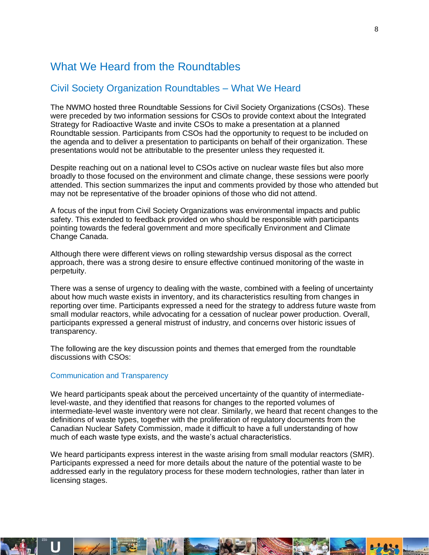### <span id="page-7-0"></span>What We Heard from the Roundtables

### <span id="page-7-1"></span>Civil Society Organization Roundtables – What We Heard

The NWMO hosted three Roundtable Sessions for Civil Society Organizations (CSOs). These were preceded by two information sessions for CSOs to provide context about the Integrated Strategy for Radioactive Waste and invite CSOs to make a presentation at a planned Roundtable session. Participants from CSOs had the opportunity to request to be included on the agenda and to deliver a presentation to participants on behalf of their organization. These presentations would not be attributable to the presenter unless they requested it.

Despite reaching out on a national level to CSOs active on nuclear waste files but also more broadly to those focused on the environment and climate change, these sessions were poorly attended. This section summarizes the input and comments provided by those who attended but may not be representative of the broader opinions of those who did not attend.

A focus of the input from Civil Society Organizations was environmental impacts and public safety. This extended to feedback provided on who should be responsible with participants pointing towards the federal government and more specifically Environment and Climate Change Canada.

Although there were different views on rolling stewardship versus disposal as the correct approach, there was a strong desire to ensure effective continued monitoring of the waste in perpetuity.

There was a sense of urgency to dealing with the waste, combined with a feeling of uncertainty about how much waste exists in inventory, and its characteristics resulting from changes in reporting over time. Participants expressed a need for the strategy to address future waste from small modular reactors, while advocating for a cessation of nuclear power production. Overall, participants expressed a general mistrust of industry, and concerns over historic issues of transparency.

The following are the key discussion points and themes that emerged from the roundtable discussions with CSOs:

#### Communication and Transparency

We heard participants speak about the perceived uncertainty of the quantity of intermediatelevel-waste, and they identified that reasons for changes to the reported volumes of intermediate-level waste inventory were not clear. Similarly, we heard that recent changes to the definitions of waste types, together with the proliferation of regulatory documents from the Canadian Nuclear Safety Commission, made it difficult to have a full understanding of how much of each waste type exists, and the waste's actual characteristics.

We heard participants express interest in the waste arising from small modular reactors (SMR). Participants expressed a need for more details about the nature of the potential waste to be addressed early in the regulatory process for these modern technologies, rather than later in licensing stages.

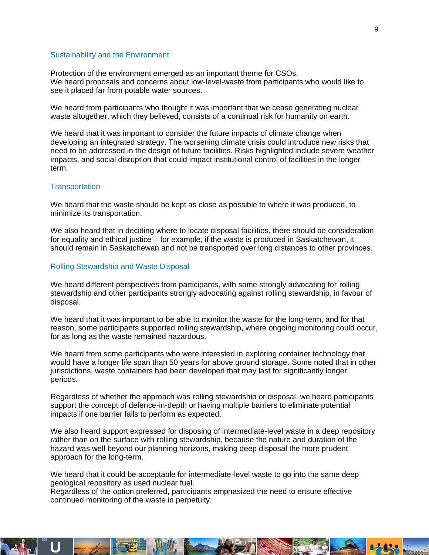#### Sustainability and the Environment

Protection of the environment emerged as an important theme for CSOs. We heard proposals and concerns about low-level-waste from participants who would like to see it placed far from potable water sources.

We heard from participants who thought it was important that we cease generating nuclear waste altogether, which they believed, consists of a continual risk for humanity on earth.

We heard that it was important to consider the future impacts of climate change when developing an integrated strategy. The worsening climate crisis could introduce new risks that need to be addressed in the design of future facilities. Risks highlighted include severe weather impacts, and social disruption that could impact institutional control of facilities in the longer term.

#### **Transportation**

We heard that the waste should be kept as close as possible to where it was produced, to minimize its transportation.

We also heard that in deciding where to locate disposal facilities, there should be consideration for equality and ethical justice – for example, if the waste is produced in Saskatchewan, it should remain in Saskatchewan and not be transported over long distances to other provinces.

#### Rolling Stewardship and Waste Disposal

We heard different perspectives from participants, with some strongly advocating for rolling stewardship and other participants strongly advocating against rolling stewardship, in favour of disposal.

We heard that it was important to be able to monitor the waste for the long-term, and for that reason, some participants supported rolling stewardship, where ongoing monitoring could occur, for as long as the waste remained hazardous.

We heard from some participants who were interested in exploring container technology that would have a longer life span than 50 years for above ground storage. Some noted that in other jurisdictions, waste containers had been developed that may last for significantly longer periods.

Regardless of whether the approach was rolling stewardship or disposal, we heard participants support the concept of defence-in-depth or having multiple barriers to eliminate potential impacts if one barrier fails to perform as expected.

We also heard support expressed for disposing of intermediate-level waste in a deep repository rather than on the surface with rolling stewardship, because the nature and duration of the hazard was well beyond our planning horizons, making deep disposal the more prudent approach for the long-term.

We heard that it could be acceptable for intermediate-level waste to go into the same deep geological repository as used nuclear fuel.

Regardless of the option preferred, participants emphasized the need to ensure effective continued monitoring of the waste in perpetuity.

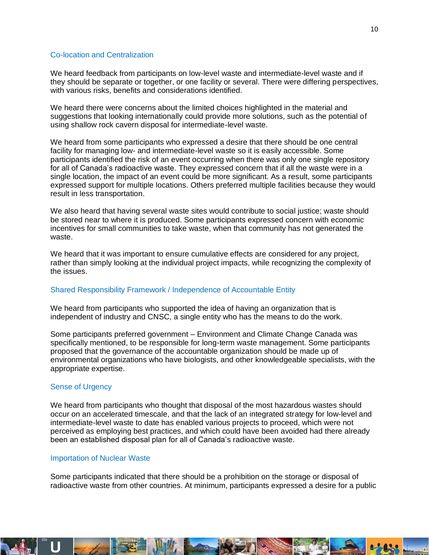#### Co-location and Centralization

We heard feedback from participants on low-level waste and intermediate-level waste and if they should be separate or together, or one facility or several. There were differing perspectives, with various risks, benefits and considerations identified.

We heard there were concerns about the limited choices highlighted in the material and suggestions that looking internationally could provide more solutions, such as the potential of using shallow rock cavern disposal for intermediate-level waste.

We heard from some participants who expressed a desire that there should be one central facility for managing low- and intermediate-level waste so it is easily accessible. Some participants identified the risk of an event occurring when there was only one single repository for all of Canada's radioactive waste. They expressed concern that if all the waste were in a single location, the impact of an event could be more significant. As a result, some participants expressed support for multiple locations. Others preferred multiple facilities because they would result in less transportation.

We also heard that having several waste sites would contribute to social justice; waste should be stored near to where it is produced. Some participants expressed concern with economic incentives for small communities to take waste, when that community has not generated the waste.

We heard that it was important to ensure cumulative effects are considered for any project, rather than simply looking at the individual project impacts, while recognizing the complexity of the issues.

#### Shared Responsibility Framework / Independence of Accountable Entity

We heard from participants who supported the idea of having an organization that is independent of industry and CNSC, a single entity who has the means to do the work.

Some participants preferred government – Environment and Climate Change Canada was specifically mentioned, to be responsible for long-term waste management. Some participants proposed that the governance of the accountable organization should be made up of environmental organizations who have biologists, and other knowledgeable specialists, with the appropriate expertise.

#### Sense of Urgency

We heard from participants who thought that disposal of the most hazardous wastes should occur on an accelerated timescale, and that the lack of an integrated strategy for low-level and intermediate-level waste to date has enabled various projects to proceed, which were not perceived as employing best practices, and which could have been avoided had there already been an established disposal plan for all of Canada's radioactive waste.

#### Importation of Nuclear Waste

Some participants indicated that there should be a prohibition on the storage or disposal of radioactive waste from other countries. At minimum, participants expressed a desire for a public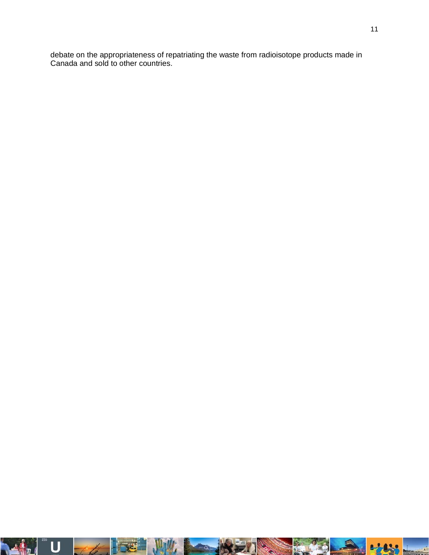debate on the appropriateness of repatriating the waste from radioisotope products made in Canada and sold to other countries.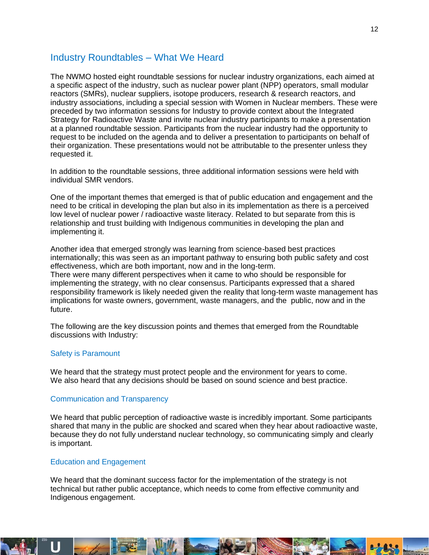### <span id="page-11-0"></span>Industry Roundtables – What We Heard

The NWMO hosted eight roundtable sessions for nuclear industry organizations, each aimed at a specific aspect of the industry, such as nuclear power plant (NPP) operators, small modular reactors (SMRs), nuclear suppliers, isotope producers, research & research reactors, and industry associations, including a special session with Women in Nuclear members. These were preceded by two information sessions for Industry to provide context about the Integrated Strategy for Radioactive Waste and invite nuclear industry participants to make a presentation at a planned roundtable session. Participants from the nuclear industry had the opportunity to request to be included on the agenda and to deliver a presentation to participants on behalf of their organization. These presentations would not be attributable to the presenter unless they requested it.

In addition to the roundtable sessions, three additional information sessions were held with individual SMR vendors.

One of the important themes that emerged is that of public education and engagement and the need to be critical in developing the plan but also in its implementation as there is a perceived low level of nuclear power / radioactive waste literacy. Related to but separate from this is relationship and trust building with Indigenous communities in developing the plan and implementing it.

Another idea that emerged strongly was learning from science-based best practices internationally; this was seen as an important pathway to ensuring both public safety and cost effectiveness, which are both important, now and in the long-term.

There were many different perspectives when it came to who should be responsible for implementing the strategy, with no clear consensus. Participants expressed that a shared responsibility framework is likely needed given the reality that long-term waste management has implications for waste owners, government, waste managers, and the public, now and in the future.

The following are the key discussion points and themes that emerged from the Roundtable discussions with Industry:

#### Safety is Paramount

We heard that the strategy must protect people and the environment for years to come. We also heard that any decisions should be based on sound science and best practice.

#### Communication and Transparency

We heard that public perception of radioactive waste is incredibly important. Some participants shared that many in the public are shocked and scared when they hear about radioactive waste, because they do not fully understand nuclear technology, so communicating simply and clearly is important.

#### Education and Engagement

We heard that the dominant success factor for the implementation of the strategy is not technical but rather public acceptance, which needs to come from effective community and Indigenous engagement.

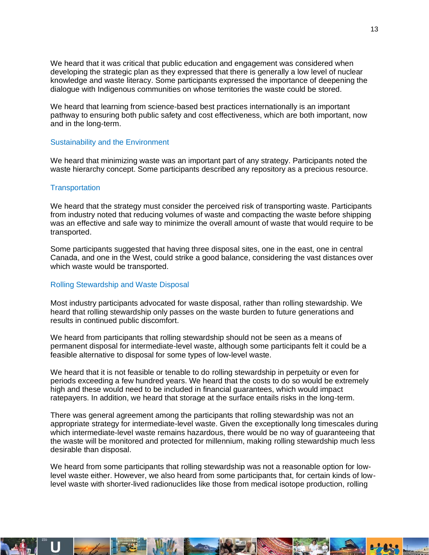We heard that it was critical that public education and engagement was considered when developing the strategic plan as they expressed that there is generally a low level of nuclear knowledge and waste literacy. Some participants expressed the importance of deepening the dialogue with Indigenous communities on whose territories the waste could be stored.

We heard that learning from science-based best practices internationally is an important pathway to ensuring both public safety and cost effectiveness, which are both important, now and in the long-term.

#### Sustainability and the Environment

We heard that minimizing waste was an important part of any strategy. Participants noted the waste hierarchy concept. Some participants described any repository as a precious resource.

#### **Transportation**

We heard that the strategy must consider the perceived risk of transporting waste. Participants from industry noted that reducing volumes of waste and compacting the waste before shipping was an effective and safe way to minimize the overall amount of waste that would require to be transported.

Some participants suggested that having three disposal sites, one in the east, one in central Canada, and one in the West, could strike a good balance, considering the vast distances over which waste would be transported.

#### Rolling Stewardship and Waste Disposal

Most industry participants advocated for waste disposal, rather than rolling stewardship. We heard that rolling stewardship only passes on the waste burden to future generations and results in continued public discomfort.

We heard from participants that rolling stewardship should not be seen as a means of permanent disposal for intermediate-level waste, although some participants felt it could be a feasible alternative to disposal for some types of low-level waste.

We heard that it is not feasible or tenable to do rolling stewardship in perpetuity or even for periods exceeding a few hundred years. We heard that the costs to do so would be extremely high and these would need to be included in financial guarantees, which would impact ratepayers. In addition, we heard that storage at the surface entails risks in the long-term.

There was general agreement among the participants that rolling stewardship was not an appropriate strategy for intermediate-level waste. Given the exceptionally long timescales during which intermediate-level waste remains hazardous, there would be no way of guaranteeing that the waste will be monitored and protected for millennium, making rolling stewardship much less desirable than disposal.

We heard from some participants that rolling stewardship was not a reasonable option for lowlevel waste either. However, we also heard from some participants that, for certain kinds of lowlevel waste with shorter-lived radionuclides like those from medical isotope production, rolling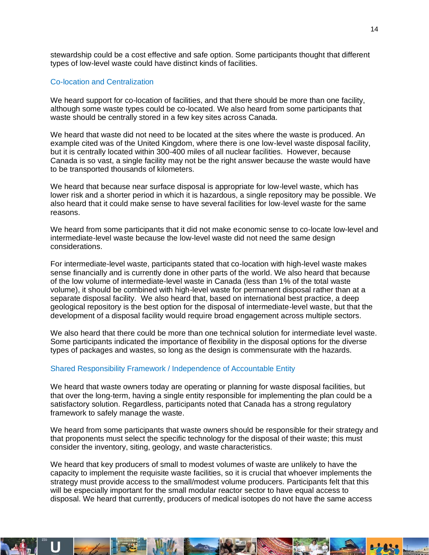stewardship could be a cost effective and safe option. Some participants thought that different types of low-level waste could have distinct kinds of facilities.

#### Co-location and Centralization

We heard support for co-location of facilities, and that there should be more than one facility, although some waste types could be co-located. We also heard from some participants that waste should be centrally stored in a few key sites across Canada.

We heard that waste did not need to be located at the sites where the waste is produced. An example cited was of the United Kingdom, where there is one low-level waste disposal facility, but it is centrally located within 300-400 miles of all nuclear facilities. However, because Canada is so vast, a single facility may not be the right answer because the waste would have to be transported thousands of kilometers.

We heard that because near surface disposal is appropriate for low-level waste, which has lower risk and a shorter period in which it is hazardous, a single repository may be possible. We also heard that it could make sense to have several facilities for low-level waste for the same reasons.

We heard from some participants that it did not make economic sense to co-locate low-level and intermediate-level waste because the low-level waste did not need the same design considerations.

For intermediate-level waste, participants stated that co-location with high-level waste makes sense financially and is currently done in other parts of the world. We also heard that because of the low volume of intermediate-level waste in Canada (less than 1% of the total waste volume), it should be combined with high-level waste for permanent disposal rather than at a separate disposal facility. We also heard that, based on international best practice, a deep geological repository is the best option for the disposal of intermediate-level waste, but that the development of a disposal facility would require broad engagement across multiple sectors.

We also heard that there could be more than one technical solution for intermediate level waste. Some participants indicated the importance of flexibility in the disposal options for the diverse types of packages and wastes, so long as the design is commensurate with the hazards.

#### Shared Responsibility Framework / Independence of Accountable Entity

We heard that waste owners today are operating or planning for waste disposal facilities, but that over the long-term, having a single entity responsible for implementing the plan could be a satisfactory solution. Regardless, participants noted that Canada has a strong regulatory framework to safely manage the waste.

We heard from some participants that waste owners should be responsible for their strategy and that proponents must select the specific technology for the disposal of their waste; this must consider the inventory, siting, geology, and waste characteristics.

We heard that key producers of small to modest volumes of waste are unlikely to have the capacity to implement the requisite waste facilities, so it is crucial that whoever implements the strategy must provide access to the small/modest volume producers. Participants felt that this will be especially important for the small modular reactor sector to have equal access to disposal. We heard that currently, producers of medical isotopes do not have the same access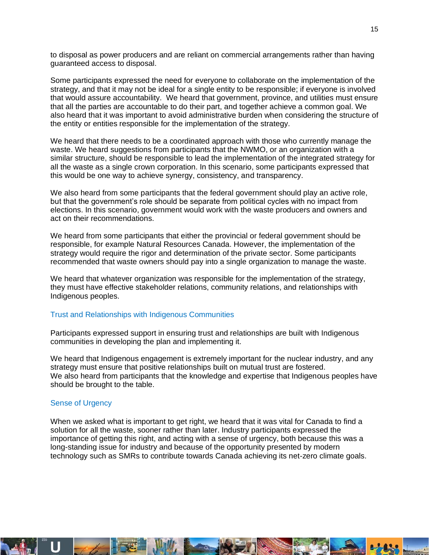to disposal as power producers and are reliant on commercial arrangements rather than having guaranteed access to disposal.

Some participants expressed the need for everyone to collaborate on the implementation of the strategy, and that it may not be ideal for a single entity to be responsible; if everyone is involved that would assure accountability. We heard that government, province, and utilities must ensure that all the parties are accountable to do their part, and together achieve a common goal. We also heard that it was important to avoid administrative burden when considering the structure of the entity or entities responsible for the implementation of the strategy.

We heard that there needs to be a coordinated approach with those who currently manage the waste. We heard suggestions from participants that the NWMO, or an organization with a similar structure, should be responsible to lead the implementation of the integrated strategy for all the waste as a single crown corporation. In this scenario, some participants expressed that this would be one way to achieve synergy, consistency, and transparency.

We also heard from some participants that the federal government should play an active role, but that the government's role should be separate from political cycles with no impact from elections. In this scenario, government would work with the waste producers and owners and act on their recommendations.

We heard from some participants that either the provincial or federal government should be responsible, for example Natural Resources Canada. However, the implementation of the strategy would require the rigor and determination of the private sector. Some participants recommended that waste owners should pay into a single organization to manage the waste.

We heard that whatever organization was responsible for the implementation of the strategy, they must have effective stakeholder relations, community relations, and relationships with Indigenous peoples.

#### Trust and Relationships with Indigenous Communities

Participants expressed support in ensuring trust and relationships are built with Indigenous communities in developing the plan and implementing it.

We heard that Indigenous engagement is extremely important for the nuclear industry, and any strategy must ensure that positive relationships built on mutual trust are fostered. We also heard from participants that the knowledge and expertise that Indigenous peoples have should be brought to the table.

#### Sense of Urgency

When we asked what is important to get right, we heard that it was vital for Canada to find a solution for all the waste, sooner rather than later. Industry participants expressed the importance of getting this right, and acting with a sense of urgency, both because this was a long-standing issue for industry and because of the opportunity presented by modern technology such as SMRs to contribute towards Canada achieving its net-zero climate goals.

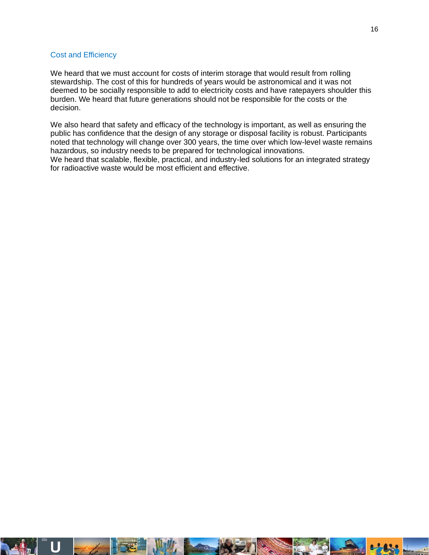#### Cost and Efficiency

We heard that we must account for costs of interim storage that would result from rolling stewardship. The cost of this for hundreds of years would be astronomical and it was not deemed to be socially responsible to add to electricity costs and have ratepayers shoulder this burden. We heard that future generations should not be responsible for the costs or the decision.

We also heard that safety and efficacy of the technology is important, as well as ensuring the public has confidence that the design of any storage or disposal facility is robust. Participants noted that technology will change over 300 years, the time over which low-level waste remains hazardous, so industry needs to be prepared for technological innovations. We heard that scalable, flexible, practical, and industry-led solutions for an integrated strategy for radioactive waste would be most efficient and effective.

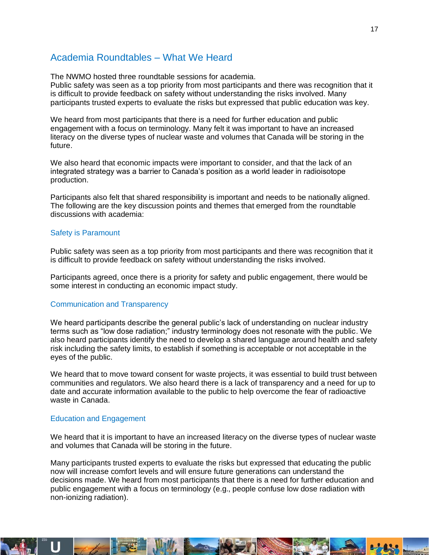### <span id="page-16-0"></span>Academia Roundtables – What We Heard

The NWMO hosted three roundtable sessions for academia.

Public safety was seen as a top priority from most participants and there was recognition that it is difficult to provide feedback on safety without understanding the risks involved. Many participants trusted experts to evaluate the risks but expressed that public education was key.

We heard from most participants that there is a need for further education and public engagement with a focus on terminology. Many felt it was important to have an increased literacy on the diverse types of nuclear waste and volumes that Canada will be storing in the future.

We also heard that economic impacts were important to consider, and that the lack of an integrated strategy was a barrier to Canada's position as a world leader in radioisotope production.

Participants also felt that shared responsibility is important and needs to be nationally aligned. The following are the key discussion points and themes that emerged from the roundtable discussions with academia:

#### Safety is Paramount

Public safety was seen as a top priority from most participants and there was recognition that it is difficult to provide feedback on safety without understanding the risks involved.

Participants agreed, once there is a priority for safety and public engagement, there would be some interest in conducting an economic impact study.

#### Communication and Transparency

We heard participants describe the general public's lack of understanding on nuclear industry terms such as "low dose radiation;" industry terminology does not resonate with the public. We also heard participants identify the need to develop a shared language around health and safety risk including the safety limits, to establish if something is acceptable or not acceptable in the eyes of the public.

We heard that to move toward consent for waste projects, it was essential to build trust between communities and regulators. We also heard there is a lack of transparency and a need for up to date and accurate information available to the public to help overcome the fear of radioactive waste in Canada.

#### Education and Engagement

We heard that it is important to have an increased literacy on the diverse types of nuclear waste and volumes that Canada will be storing in the future.

Many participants trusted experts to evaluate the risks but expressed that educating the public now will increase comfort levels and will ensure future generations can understand the decisions made. We heard from most participants that there is a need for further education and public engagement with a focus on terminology (e.g., people confuse low dose radiation with non-ionizing radiation).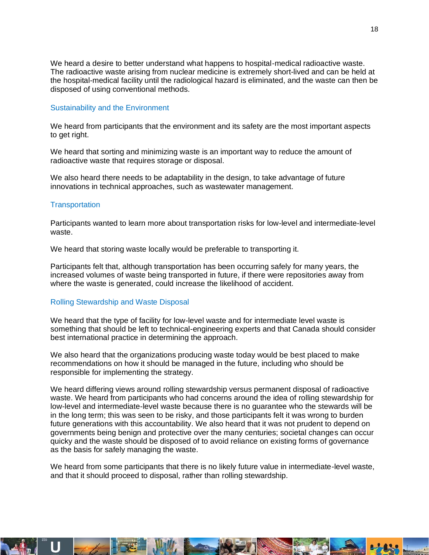We heard a desire to better understand what happens to hospital-medical radioactive waste. The radioactive waste arising from nuclear medicine is extremely short-lived and can be held at the hospital-medical facility until the radiological hazard is eliminated, and the waste can then be disposed of using conventional methods.

#### Sustainability and the Environment

We heard from participants that the environment and its safety are the most important aspects to get right.

We heard that sorting and minimizing waste is an important way to reduce the amount of radioactive waste that requires storage or disposal.

We also heard there needs to be adaptability in the design, to take advantage of future innovations in technical approaches, such as wastewater management.

#### **Transportation**

Participants wanted to learn more about transportation risks for low-level and intermediate-level waste.

We heard that storing waste locally would be preferable to transporting it.

Participants felt that, although transportation has been occurring safely for many years, the increased volumes of waste being transported in future, if there were repositories away from where the waste is generated, could increase the likelihood of accident.

#### Rolling Stewardship and Waste Disposal

We heard that the type of facility for low-level waste and for intermediate level waste is something that should be left to technical-engineering experts and that Canada should consider best international practice in determining the approach.

We also heard that the organizations producing waste today would be best placed to make recommendations on how it should be managed in the future, including who should be responsible for implementing the strategy.

We heard differing views around rolling stewardship versus permanent disposal of radioactive waste. We heard from participants who had concerns around the idea of rolling stewardship for low-level and intermediate-level waste because there is no guarantee who the stewards will be in the long term; this was seen to be risky, and those participants felt it was wrong to burden future generations with this accountability. We also heard that it was not prudent to depend on governments being benign and protective over the many centuries; societal changes can occur quicky and the waste should be disposed of to avoid reliance on existing forms of governance as the basis for safely managing the waste.

We heard from some participants that there is no likely future value in intermediate-level waste, and that it should proceed to disposal, rather than rolling stewardship.

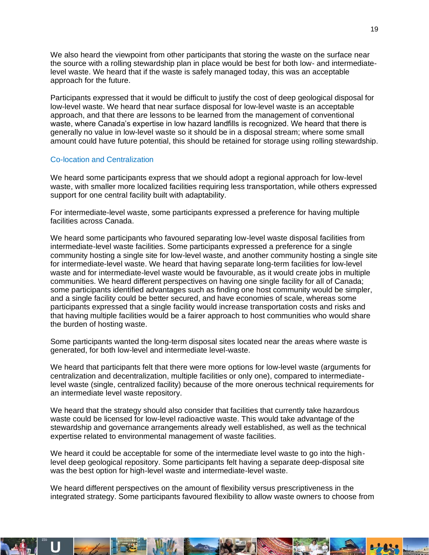We also heard the viewpoint from other participants that storing the waste on the surface near the source with a rolling stewardship plan in place would be best for both low- and intermediatelevel waste. We heard that if the waste is safely managed today, this was an acceptable approach for the future.

Participants expressed that it would be difficult to justify the cost of deep geological disposal for low-level waste. We heard that near surface disposal for low-level waste is an acceptable approach, and that there are lessons to be learned from the management of conventional waste, where Canada's expertise in low hazard landfills is recognized. We heard that there is generally no value in low-level waste so it should be in a disposal stream; where some small amount could have future potential, this should be retained for storage using rolling stewardship.

#### Co-location and Centralization

We heard some participants express that we should adopt a regional approach for low-level waste, with smaller more localized facilities requiring less transportation, while others expressed support for one central facility built with adaptability.

For intermediate-level waste, some participants expressed a preference for having multiple facilities across Canada.

We heard some participants who favoured separating low-level waste disposal facilities from intermediate-level waste facilities. Some participants expressed a preference for a single community hosting a single site for low-level waste, and another community hosting a single site for intermediate-level waste. We heard that having separate long-term facilities for low-level waste and for intermediate-level waste would be favourable, as it would create jobs in multiple communities. We heard different perspectives on having one single facility for all of Canada; some participants identified advantages such as finding one host community would be simpler, and a single facility could be better secured, and have economies of scale, whereas some participants expressed that a single facility would increase transportation costs and risks and that having multiple facilities would be a fairer approach to host communities who would share the burden of hosting waste.

Some participants wanted the long-term disposal sites located near the areas where waste is generated, for both low-level and intermediate level-waste.

We heard that participants felt that there were more options for low-level waste (arguments for centralization and decentralization, multiple facilities or only one), compared to intermediatelevel waste (single, centralized facility) because of the more onerous technical requirements for an intermediate level waste repository.

We heard that the strategy should also consider that facilities that currently take hazardous waste could be licensed for low-level radioactive waste. This would take advantage of the stewardship and governance arrangements already well established, as well as the technical expertise related to environmental management of waste facilities.

We heard it could be acceptable for some of the intermediate level waste to go into the highlevel deep geological repository. Some participants felt having a separate deep-disposal site was the best option for high-level waste and intermediate-level waste.

We heard different perspectives on the amount of flexibility versus prescriptiveness in the integrated strategy. Some participants favoured flexibility to allow waste owners to choose from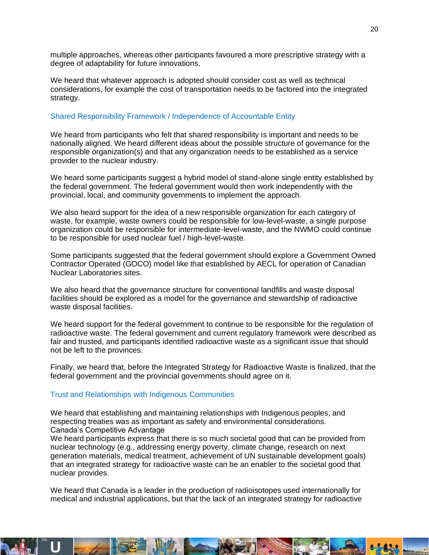multiple approaches, whereas other participants favoured a more prescriptive strategy with a degree of adaptability for future innovations.

We heard that whatever approach is adopted should consider cost as well as technical considerations, for example the cost of transportation needs to be factored into the integrated strategy.

#### Shared Responsibility Framework / Independence of Accountable Entity

We heard from participants who felt that shared responsibility is important and needs to be nationally aligned. We heard different ideas about the possible structure of governance for the responsible organization(s) and that any organization needs to be established as a service provider to the nuclear industry.

We heard some participants suggest a hybrid model of stand-alone single entity established by the federal government. The federal government would then work independently with the provincial, local, and community governments to implement the approach.

We also heard support for the idea of a new responsible organization for each category of waste, for example, waste owners could be responsible for low-level-waste, a single purpose organization could be responsible for intermediate-level-waste, and the NWMO could continue to be responsible for used nuclear fuel / high-level-waste.

Some participants suggested that the federal government should explore a Government Owned Contractor Operated (GOCO) model like that established by AECL for operation of Canadian Nuclear Laboratories sites.

We also heard that the governance structure for conventional landfills and waste disposal facilities should be explored as a model for the governance and stewardship of radioactive waste disposal facilities.

We heard support for the federal government to continue to be responsible for the regulation of radioactive waste. The federal government and current regulatory framework were described as fair and trusted, and participants identified radioactive waste as a significant issue that should not be left to the provinces.

Finally, we heard that, before the Integrated Strategy for Radioactive Waste is finalized, that the federal government and the provincial governments should agree on it.

#### Trust and Relationships with Indigenous Communities

We heard that establishing and maintaining relationships with Indigenous peoples, and respecting treaties was as important as safety and environmental considerations. Canada's Competitive Advantage

We heard participants express that there is so much societal good that can be provided from nuclear technology (e.g., addressing energy poverty, climate change, research on next generation materials, medical treatment, achievement of UN sustainable development goals) that an integrated strategy for radioactive waste can be an enabler to the societal good that nuclear provides.

We heard that Canada is a leader in the production of radioisotopes used internationally for medical and industrial applications, but that the lack of an integrated strategy for radioactive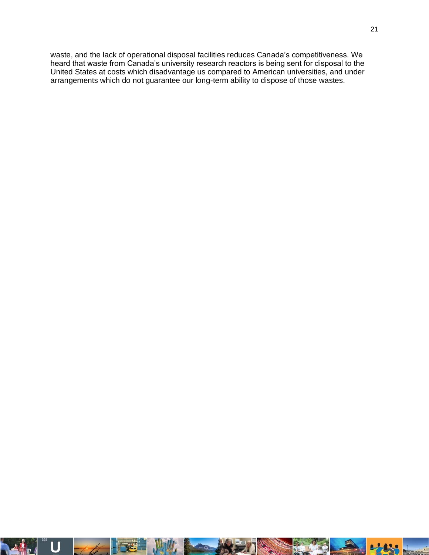waste, and the lack of operational disposal facilities reduces Canada's competitiveness. We heard that waste from Canada's university research reactors is being sent for disposal to the United States at costs which disadvantage us compared to American universities, and under arrangements which do not guarantee our long-term ability to dispose of those wastes.

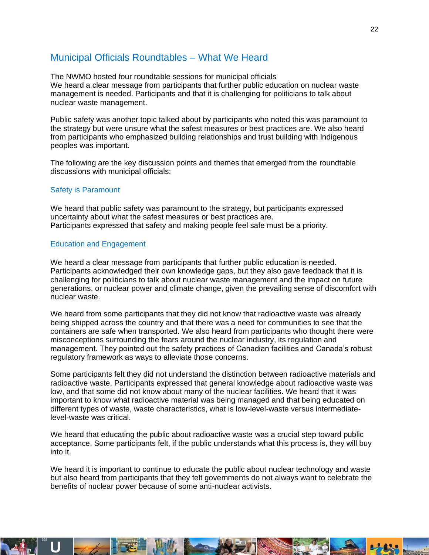### <span id="page-21-0"></span>Municipal Officials Roundtables – What We Heard

The NWMO hosted four roundtable sessions for municipal officials We heard a clear message from participants that further public education on nuclear waste management is needed. Participants and that it is challenging for politicians to talk about nuclear waste management.

Public safety was another topic talked about by participants who noted this was paramount to the strategy but were unsure what the safest measures or best practices are. We also heard from participants who emphasized building relationships and trust building with Indigenous peoples was important.

The following are the key discussion points and themes that emerged from the roundtable discussions with municipal officials:

#### Safety is Paramount

We heard that public safety was paramount to the strategy, but participants expressed uncertainty about what the safest measures or best practices are. Participants expressed that safety and making people feel safe must be a priority.

#### Education and Engagement

We heard a clear message from participants that further public education is needed. Participants acknowledged their own knowledge gaps, but they also gave feedback that it is challenging for politicians to talk about nuclear waste management and the impact on future generations, or nuclear power and climate change, given the prevailing sense of discomfort with nuclear waste.

We heard from some participants that they did not know that radioactive waste was already being shipped across the country and that there was a need for communities to see that the containers are safe when transported. We also heard from participants who thought there were misconceptions surrounding the fears around the nuclear industry, its regulation and management. They pointed out the safety practices of Canadian facilities and Canada's robust regulatory framework as ways to alleviate those concerns.

Some participants felt they did not understand the distinction between radioactive materials and radioactive waste. Participants expressed that general knowledge about radioactive waste was low, and that some did not know about many of the nuclear facilities. We heard that it was important to know what radioactive material was being managed and that being educated on different types of waste, waste characteristics, what is low-level-waste versus intermediatelevel-waste was critical.

We heard that educating the public about radioactive waste was a crucial step toward public acceptance. Some participants felt, if the public understands what this process is, they will buy into it.

We heard it is important to continue to educate the public about nuclear technology and waste but also heard from participants that they felt governments do not always want to celebrate the benefits of nuclear power because of some anti-nuclear activists.

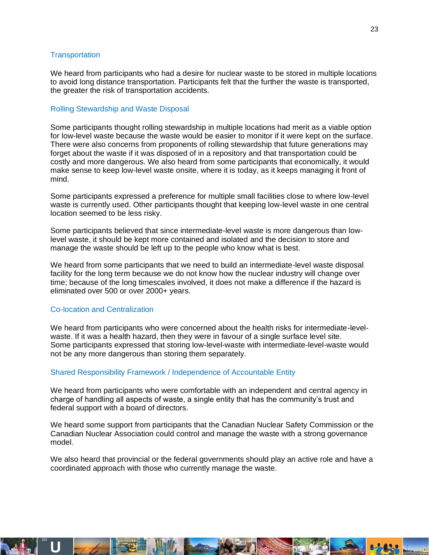#### **Transportation**

We heard from participants who had a desire for nuclear waste to be stored in multiple locations to avoid long distance transportation. Participants felt that the further the waste is transported, the greater the risk of transportation accidents.

#### Rolling Stewardship and Waste Disposal

Some participants thought rolling stewardship in multiple locations had merit as a viable option for low-level waste because the waste would be easier to monitor if it were kept on the surface. There were also concerns from proponents of rolling stewardship that future generations may forget about the waste if it was disposed of in a repository and that transportation could be costly and more dangerous. We also heard from some participants that economically, it would make sense to keep low-level waste onsite, where it is today, as it keeps managing it front of mind.

Some participants expressed a preference for multiple small facilities close to where low-level waste is currently used. Other participants thought that keeping low-level waste in one central location seemed to be less risky.

Some participants believed that since intermediate-level waste is more dangerous than lowlevel waste, it should be kept more contained and isolated and the decision to store and manage the waste should be left up to the people who know what is best.

We heard from some participants that we need to build an intermediate-level waste disposal facility for the long term because we do not know how the nuclear industry will change over time; because of the long timescales involved, it does not make a difference if the hazard is eliminated over 500 or over 2000+ years.

#### Co-location and Centralization

We heard from participants who were concerned about the health risks for intermediate-levelwaste. If it was a health hazard, then they were in favour of a single surface level site. Some participants expressed that storing low-level-waste with intermediate-level-waste would not be any more dangerous than storing them separately.

#### Shared Responsibility Framework / Independence of Accountable Entity

We heard from participants who were comfortable with an independent and central agency in charge of handling all aspects of waste, a single entity that has the community's trust and federal support with a board of directors.

We heard some support from participants that the Canadian Nuclear Safety Commission or the Canadian Nuclear Association could control and manage the waste with a strong governance model.

We also heard that provincial or the federal governments should play an active role and have a coordinated approach with those who currently manage the waste.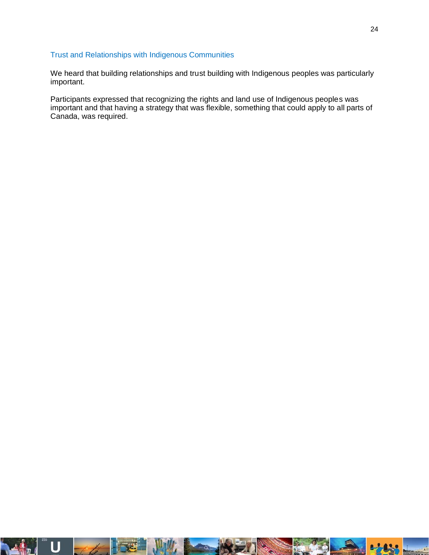#### Trust and Relationships with Indigenous Communities

We heard that building relationships and trust building with Indigenous peoples was particularly important.

Participants expressed that recognizing the rights and land use of Indigenous peoples was important and that having a strategy that was flexible, something that could apply to all parts of Canada, was required.

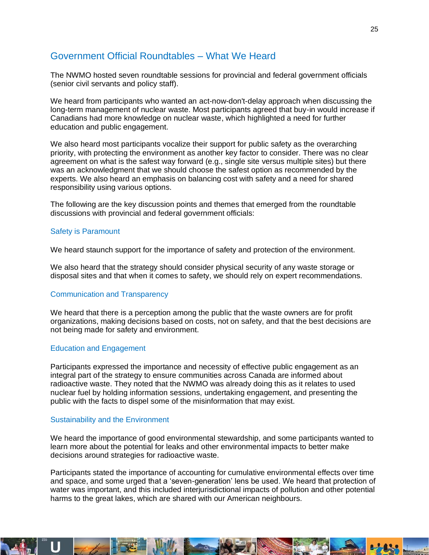### <span id="page-24-0"></span>Government Official Roundtables – What We Heard

The NWMO hosted seven roundtable sessions for provincial and federal government officials (senior civil servants and policy staff).

We heard from participants who wanted an act-now-don't-delay approach when discussing the long-term management of nuclear waste. Most participants agreed that buy-in would increase if Canadians had more knowledge on nuclear waste, which highlighted a need for further education and public engagement.

We also heard most participants vocalize their support for public safety as the overarching priority, with protecting the environment as another key factor to consider. There was no clear agreement on what is the safest way forward (e.g., single site versus multiple sites) but there was an acknowledgment that we should choose the safest option as recommended by the experts. We also heard an emphasis on balancing cost with safety and a need for shared responsibility using various options.

The following are the key discussion points and themes that emerged from the roundtable discussions with provincial and federal government officials:

#### Safety is Paramount

We heard staunch support for the importance of safety and protection of the environment.

We also heard that the strategy should consider physical security of any waste storage or disposal sites and that when it comes to safety, we should rely on expert recommendations.

#### Communication and Transparency

We heard that there is a perception among the public that the waste owners are for profit organizations, making decisions based on costs, not on safety, and that the best decisions are not being made for safety and environment.

#### Education and Engagement

Participants expressed the importance and necessity of effective public engagement as an integral part of the strategy to ensure communities across Canada are informed about radioactive waste. They noted that the NWMO was already doing this as it relates to used nuclear fuel by holding information sessions, undertaking engagement, and presenting the public with the facts to dispel some of the misinformation that may exist.

#### Sustainability and the Environment

We heard the importance of good environmental stewardship, and some participants wanted to learn more about the potential for leaks and other environmental impacts to better make decisions around strategies for radioactive waste.

Participants stated the importance of accounting for cumulative environmental effects over time and space, and some urged that a 'seven-generation' lens be used. We heard that protection of water was important, and this included interjurisdictional impacts of pollution and other potential harms to the great lakes, which are shared with our American neighbours.

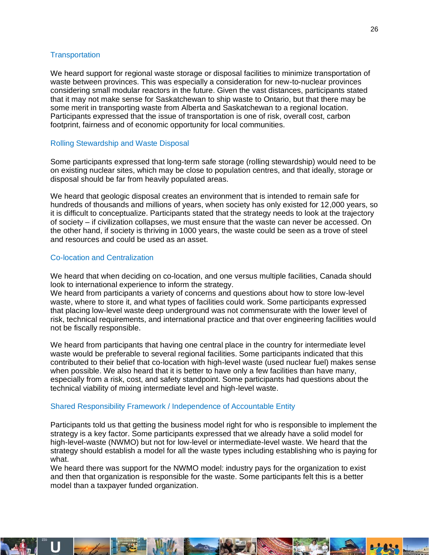#### **Transportation**

We heard support for regional waste storage or disposal facilities to minimize transportation of waste between provinces. This was especially a consideration for new-to-nuclear provinces considering small modular reactors in the future. Given the vast distances, participants stated that it may not make sense for Saskatchewan to ship waste to Ontario, but that there may be some merit in transporting waste from Alberta and Saskatchewan to a regional location. Participants expressed that the issue of transportation is one of risk, overall cost, carbon footprint, fairness and of economic opportunity for local communities.

#### Rolling Stewardship and Waste Disposal

Some participants expressed that long-term safe storage (rolling stewardship) would need to be on existing nuclear sites, which may be close to population centres, and that ideally, storage or disposal should be far from heavily populated areas.

We heard that geologic disposal creates an environment that is intended to remain safe for hundreds of thousands and millions of years, when society has only existed for 12,000 years, so it is difficult to conceptualize. Participants stated that the strategy needs to look at the trajectory of society – if civilization collapses, we must ensure that the waste can never be accessed. On the other hand, if society is thriving in 1000 years, the waste could be seen as a trove of steel and resources and could be used as an asset.

#### Co-location and Centralization

We heard that when deciding on co-location, and one versus multiple facilities, Canada should look to international experience to inform the strategy.

We heard from participants a variety of concerns and questions about how to store low-level waste, where to store it, and what types of facilities could work. Some participants expressed that placing low-level waste deep underground was not commensurate with the lower level of risk, technical requirements, and international practice and that over engineering facilities would not be fiscally responsible.

We heard from participants that having one central place in the country for intermediate level waste would be preferable to several regional facilities. Some participants indicated that this contributed to their belief that co-location with high-level waste (used nuclear fuel) makes sense when possible. We also heard that it is better to have only a few facilities than have many, especially from a risk, cost, and safety standpoint. Some participants had questions about the technical viability of mixing intermediate level and high-level waste.

#### Shared Responsibility Framework / Independence of Accountable Entity

Participants told us that getting the business model right for who is responsible to implement the strategy is a key factor. Some participants expressed that we already have a solid model for high-level-waste (NWMO) but not for low-level or intermediate-level waste. We heard that the strategy should establish a model for all the waste types including establishing who is paying for what.

We heard there was support for the NWMO model: industry pays for the organization to exist and then that organization is responsible for the waste. Some participants felt this is a better model than a taxpayer funded organization.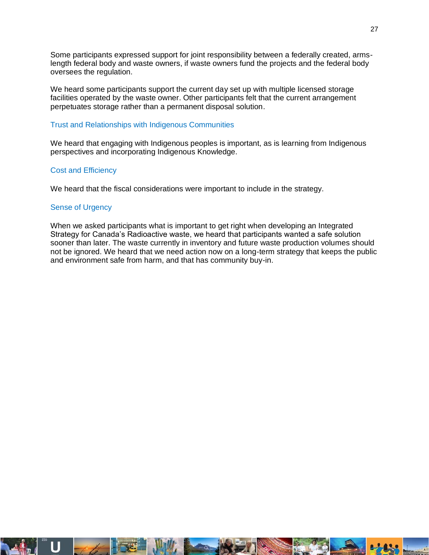Some participants expressed support for joint responsibility between a federally created, armslength federal body and waste owners, if waste owners fund the projects and the federal body oversees the regulation.

We heard some participants support the current day set up with multiple licensed storage facilities operated by the waste owner. Other participants felt that the current arrangement perpetuates storage rather than a permanent disposal solution.

#### Trust and Relationships with Indigenous Communities

We heard that engaging with Indigenous peoples is important, as is learning from Indigenous perspectives and incorporating Indigenous Knowledge.

#### Cost and Efficiency

We heard that the fiscal considerations were important to include in the strategy.

#### Sense of Urgency

When we asked participants what is important to get right when developing an Integrated Strategy for Canada's Radioactive waste, we heard that participants wanted a safe solution sooner than later. The waste currently in inventory and future waste production volumes should not be ignored. We heard that we need action now on a long-term strategy that keeps the public and environment safe from harm, and that has community buy-in.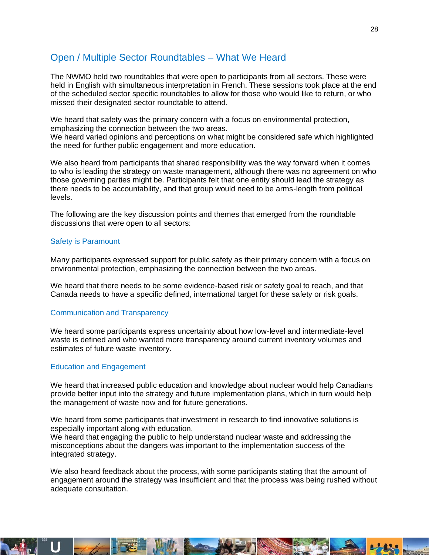### <span id="page-27-0"></span>Open / Multiple Sector Roundtables – What We Heard

The NWMO held two roundtables that were open to participants from all sectors. These were held in English with simultaneous interpretation in French. These sessions took place at the end of the scheduled sector specific roundtables to allow for those who would like to return, or who missed their designated sector roundtable to attend.

We heard that safety was the primary concern with a focus on environmental protection, emphasizing the connection between the two areas.

We heard varied opinions and perceptions on what might be considered safe which highlighted the need for further public engagement and more education.

We also heard from participants that shared responsibility was the way forward when it comes to who is leading the strategy on waste management, although there was no agreement on who those governing parties might be. Participants felt that one entity should lead the strategy as there needs to be accountability, and that group would need to be arms-length from political levels.

The following are the key discussion points and themes that emerged from the roundtable discussions that were open to all sectors:

#### Safety is Paramount

Many participants expressed support for public safety as their primary concern with a focus on environmental protection, emphasizing the connection between the two areas.

We heard that there needs to be some evidence-based risk or safety goal to reach, and that Canada needs to have a specific defined, international target for these safety or risk goals.

#### Communication and Transparency

We heard some participants express uncertainty about how low-level and intermediate-level waste is defined and who wanted more transparency around current inventory volumes and estimates of future waste inventory.

#### Education and Engagement

We heard that increased public education and knowledge about nuclear would help Canadians provide better input into the strategy and future implementation plans, which in turn would help the management of waste now and for future generations.

We heard from some participants that investment in research to find innovative solutions is especially important along with education.

We heard that engaging the public to help understand nuclear waste and addressing the misconceptions about the dangers was important to the implementation success of the integrated strategy.

We also heard feedback about the process, with some participants stating that the amount of engagement around the strategy was insufficient and that the process was being rushed without adequate consultation.

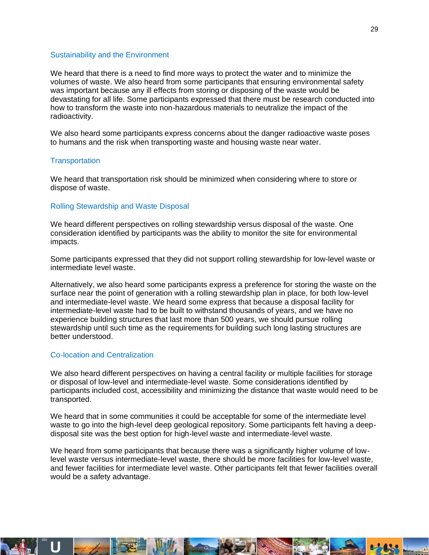#### Sustainability and the Environment

We heard that there is a need to find more ways to protect the water and to minimize the volumes of waste. We also heard from some participants that ensuring environmental safety was important because any ill effects from storing or disposing of the waste would be devastating for all life. Some participants expressed that there must be research conducted into how to transform the waste into non-hazardous materials to neutralize the impact of the radioactivity.

We also heard some participants express concerns about the danger radioactive waste poses to humans and the risk when transporting waste and housing waste near water.

#### **Transportation**

We heard that transportation risk should be minimized when considering where to store or dispose of waste.

#### Rolling Stewardship and Waste Disposal

We heard different perspectives on rolling stewardship versus disposal of the waste. One consideration identified by participants was the ability to monitor the site for environmental impacts.

Some participants expressed that they did not support rolling stewardship for low-level waste or intermediate level waste.

Alternatively, we also heard some participants express a preference for storing the waste on the surface near the point of generation with a rolling stewardship plan in place, for both low-level and intermediate-level waste. We heard some express that because a disposal facility for intermediate-level waste had to be built to withstand thousands of years, and we have no experience building structures that last more than 500 years, we should pursue rolling stewardship until such time as the requirements for building such long lasting structures are better understood.

#### Co-location and Centralization

We also heard different perspectives on having a central facility or multiple facilities for storage or disposal of low-level and intermediate-level waste. Some considerations identified by participants included cost, accessibility and minimizing the distance that waste would need to be transported.

We heard that in some communities it could be acceptable for some of the intermediate level waste to go into the high-level deep geological repository. Some participants felt having a deepdisposal site was the best option for high-level waste and intermediate-level waste.

We heard from some participants that because there was a significantly higher volume of lowlevel waste versus intermediate-level waste, there should be more facilities for low-level waste, and fewer facilities for intermediate level waste. Other participants felt that fewer facilities overall would be a safety advantage.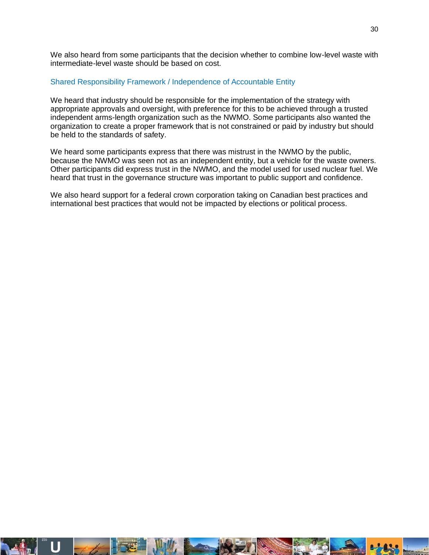We also heard from some participants that the decision whether to combine low-level waste with intermediate-level waste should be based on cost.

#### Shared Responsibility Framework / Independence of Accountable Entity

We heard that industry should be responsible for the implementation of the strategy with appropriate approvals and oversight, with preference for this to be achieved through a trusted independent arms-length organization such as the NWMO. Some participants also wanted the organization to create a proper framework that is not constrained or paid by industry but should be held to the standards of safety.

We heard some participants express that there was mistrust in the NWMO by the public, because the NWMO was seen not as an independent entity, but a vehicle for the waste owners. Other participants did express trust in the NWMO, and the model used for used nuclear fuel. We heard that trust in the governance structure was important to public support and confidence.

We also heard support for a federal crown corporation taking on Canadian best practices and international best practices that would not be impacted by elections or political process.

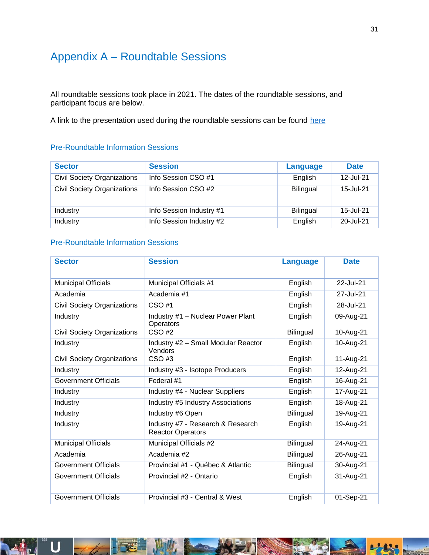### <span id="page-30-0"></span>Appendix A – Roundtable Sessions

All roundtable sessions took place in 2021. The dates of the roundtable sessions, and participant focus are below.

A link to the presentation used during the roundtable sessions can be found [here](https://radwasteplanning.ca/sites/default/files/isrw_roundtable_presentation_en_with_fr_subtitles.pdf)

#### Pre-Roundtable Information Sessions

| <b>Sector</b>                      | <b>Session</b>           | Language         | <b>Date</b> |
|------------------------------------|--------------------------|------------------|-------------|
| <b>Civil Society Organizations</b> | Info Session CSO #1      | English          | 12-Jul-21   |
| <b>Civil Society Organizations</b> | Info Session CSO #2      | <b>Bilingual</b> | 15-Jul-21   |
| Industry                           | Info Session Industry #1 | <b>Bilingual</b> | 15-Jul-21   |
| Industry                           | Info Session Industry #2 | English          | 20-Jul-21   |

#### Pre-Roundtable Information Sessions

| <b>Sector</b>                      | <b>Session</b>                                                | <b>Language</b>  | <b>Date</b> |
|------------------------------------|---------------------------------------------------------------|------------------|-------------|
| <b>Municipal Officials</b>         | Municipal Officials #1                                        | English          | 22-Jul-21   |
| Academia                           | Academia #1                                                   | English          | 27-Jul-21   |
| <b>Civil Society Organizations</b> | $CSO$ #1                                                      | English          | 28-Jul-21   |
| Industry                           | Industry #1 - Nuclear Power Plant<br>Operators                | English          | 09-Aug-21   |
| <b>Civil Society Organizations</b> | CSO#2                                                         | Bilingual        | 10-Aug-21   |
| Industry                           | Industry #2 - Small Modular Reactor<br>Vendors                | English          | 10-Aug-21   |
| <b>Civil Society Organizations</b> | $CSO$ #3                                                      | English          | 11-Aug-21   |
| Industry                           | Industry #3 - Isotope Producers                               | English          | 12-Aug-21   |
| <b>Government Officials</b>        | Federal #1                                                    | English          | 16-Aug-21   |
| Industry                           | Industry #4 - Nuclear Suppliers                               | English          | 17-Aug-21   |
| Industry                           | Industry #5 Industry Associations                             | English          | 18-Aug-21   |
| Industry                           | Industry #6 Open                                              | Bilingual        | 19-Aug-21   |
| Industry                           | Industry #7 - Research & Research<br><b>Reactor Operators</b> | English          | 19-Aug-21   |
| <b>Municipal Officials</b>         | Municipal Officials #2                                        | Bilingual        | 24-Aug-21   |
| Academia                           | Academia #2                                                   | Bilingual        | 26-Aug-21   |
| <b>Government Officials</b>        | Provincial #1 - Québec & Atlantic                             | <b>Bilingual</b> | 30-Aug-21   |
| <b>Government Officials</b>        | Provincial #2 - Ontario                                       | English          | 31-Aug-21   |
| <b>Government Officials</b>        | Provincial #3 - Central & West                                | English          | 01-Sep-21   |



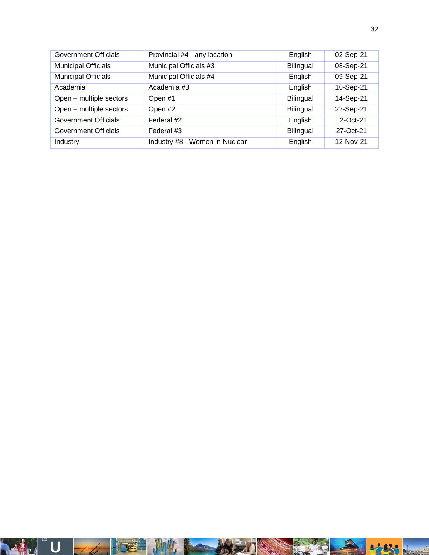| Government Officials       | Provincial #4 - any location   | English          | 02-Sep-21    |
|----------------------------|--------------------------------|------------------|--------------|
| <b>Municipal Officials</b> | Municipal Officials #3         | <b>Bilingual</b> | 08-Sep-21    |
| <b>Municipal Officials</b> | Municipal Officials #4         | English          | 09-Sep-21    |
| Academia                   | Academia #3                    | English          | 10-Sep-21    |
| Open - multiple sectors    | Open #1                        | <b>Bilingual</b> | 14-Sep-21    |
| Open - multiple sectors    | Open #2                        | <b>Bilingual</b> | 22-Sep-21    |
| Government Officials       | Federal #2                     | English          | $12$ -Oct-21 |
| Government Officials       | Federal #3                     | <b>Bilingual</b> | 27-Oct-21    |
| Industry                   | Industry #8 - Women in Nuclear | English          | 12-Nov-21    |

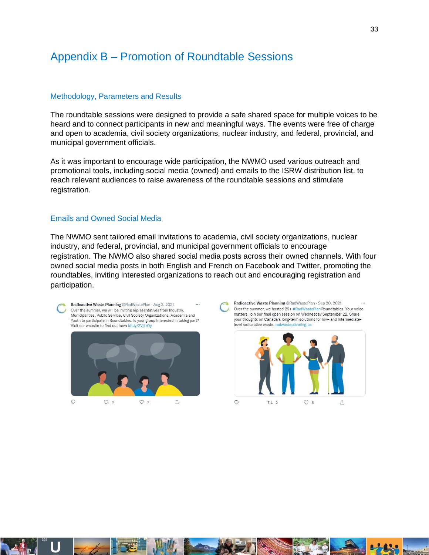### <span id="page-32-0"></span>Appendix B – Promotion of Roundtable Sessions

#### Methodology, Parameters and Results

The roundtable sessions were designed to provide a safe shared space for multiple voices to be heard and to connect participants in new and meaningful ways. The events were free of charge and open to academia, civil society organizations, nuclear industry, and federal, provincial, and municipal government officials.

As it was important to encourage wide participation, the NWMO used various outreach and promotional tools, including social media (owned) and emails to the ISRW distribution list, to reach relevant audiences to raise awareness of the roundtable sessions and stimulate registration.

#### Emails and Owned Social Media

The NWMO sent tailored email invitations to academia, civil society organizations, nuclear industry, and federal, provincial, and municipal government officials to encourage registration. The NWMO also shared social media posts across their owned channels. With four owned social media posts in both English and French on Facebook and Twitter, promoting the roundtables, inviting interested organizations to reach out and encouraging registration and participation.

Radioactive Waste Planning @RadWastePlan - Aug 3, 2021 Over the summer, we will be inviting representatives from Industry, Municipalities, Public Service, Civil Society Organizations, Academia and Youth to participate in Roundtables. Is your group interested in taking part? Visit our website to find out how: bit.ly/2VjLrOy  $\circ$  $172$  $O<sub>2</sub>$  $\triangle$ 

Radioactive Waste Planning @RadWastePlan · Sep 20, 2021 Over the summer, we hosted 25+ #RadWastePlan Roundtables. Your voice matters, join our final open session on Wednesday September 22. Share your thoughts on Canada's long-term solutions for low- and intermediatelevel radioactive waste, radwasteplanning.ca



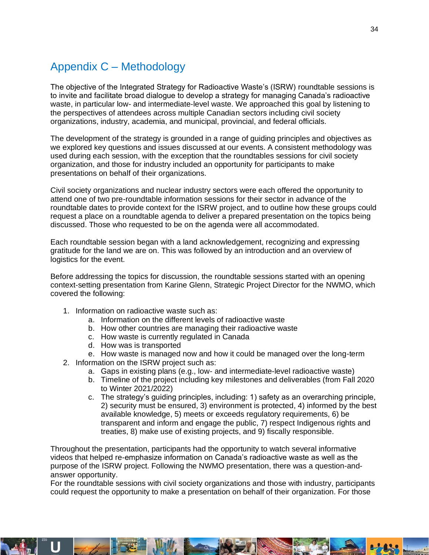### <span id="page-33-0"></span>Appendix C – Methodology

The objective of the Integrated Strategy for Radioactive Waste's (ISRW) roundtable sessions is to invite and facilitate broad dialogue to develop a strategy for managing Canada's radioactive waste, in particular low- and intermediate-level waste. We approached this goal by listening to the perspectives of attendees across multiple Canadian sectors including civil society organizations, industry, academia, and municipal, provincial, and federal officials.

The development of the strategy is grounded in a range of guiding principles and objectives as we explored key questions and issues discussed at our events. A consistent methodology was used during each session, with the exception that the roundtables sessions for civil society organization, and those for industry included an opportunity for participants to make presentations on behalf of their organizations.

Civil society organizations and nuclear industry sectors were each offered the opportunity to attend one of two pre-roundtable information sessions for their sector in advance of the roundtable dates to provide context for the ISRW project, and to outline how these groups could request a place on a roundtable agenda to deliver a prepared presentation on the topics being discussed. Those who requested to be on the agenda were all accommodated.

Each roundtable session began with a land acknowledgement, recognizing and expressing gratitude for the land we are on. This was followed by an introduction and an overview of logistics for the event.

Before addressing the topics for discussion, the roundtable sessions started with an opening context-setting presentation from Karine Glenn, Strategic Project Director for the NWMO, which covered the following:

- 1. Information on radioactive waste such as:
	- a. Information on the different levels of radioactive waste
	- b. How other countries are managing their radioactive waste
	- c. How waste is currently regulated in Canada
	- d. How was is transported
	- e. How waste is managed now and how it could be managed over the long-term
- 2. Information on the ISRW project such as:
	- a. Gaps in existing plans (e.g., low- and intermediate-level radioactive waste)
	- b. Timeline of the project including key milestones and deliverables (from Fall 2020 to Winter 2021/2022)
	- c. The strategy's guiding principles, including: 1) safety as an overarching principle, 2) security must be ensured, 3) environment is protected, 4) informed by the best available knowledge, 5) meets or exceeds regulatory requirements, 6) be transparent and inform and engage the public, 7) respect Indigenous rights and treaties, 8) make use of existing projects, and 9) fiscally responsible.

Throughout the presentation, participants had the opportunity to watch several informative videos that helped re-emphasize information on Canada's radioactive waste as well as the purpose of the ISRW project. Following the NWMO presentation, there was a question-andanswer opportunity.

For the roundtable sessions with civil society organizations and those with industry, participants could request the opportunity to make a presentation on behalf of their organization. For those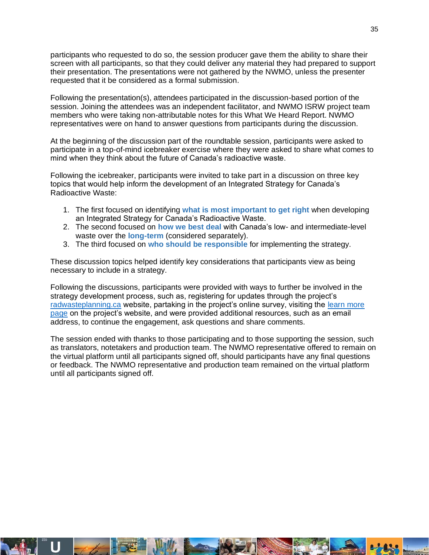participants who requested to do so, the session producer gave them the ability to share their screen with all participants, so that they could deliver any material they had prepared to support their presentation. The presentations were not gathered by the NWMO, unless the presenter requested that it be considered as a formal submission.

Following the presentation(s), attendees participated in the discussion-based portion of the session. Joining the attendees was an independent facilitator, and NWMO ISRW project team members who were taking non-attributable notes for this What We Heard Report. NWMO representatives were on hand to answer questions from participants during the discussion.

At the beginning of the discussion part of the roundtable session, participants were asked to participate in a top-of-mind icebreaker exercise where they were asked to share what comes to mind when they think about the future of Canada's radioactive waste.

Following the icebreaker, participants were invited to take part in a discussion on three key topics that would help inform the development of an Integrated Strategy for Canada's Radioactive Waste:

- 1. The first focused on identifying **what is most important to get right** when developing an Integrated Strategy for Canada's Radioactive Waste.
- 2. The second focused on **how we best deal** with Canada's low- and intermediate-level waste over the **long-term** (considered separately).
- 3. The third focused on **who should be responsible** for implementing the strategy.

These discussion topics helped identify key considerations that participants view as being necessary to include in a strategy.

Following the discussions, participants were provided with ways to further be involved in the strategy development process, such as, registering for updates through the project's [radwasteplanning.ca](https://radwasteplanning.ca/) website, partaking in the project's online survey, visiting the [learn more](https://radwasteplanning.ca/content/learn-more)  [page](https://radwasteplanning.ca/content/learn-more) on the project's website, and were provided additional resources, such as an email address, to continue the engagement, ask questions and share comments.

The session ended with thanks to those participating and to those supporting the session, such as translators, notetakers and production team. The NWMO representative offered to remain on the virtual platform until all participants signed off, should participants have any final questions or feedback. The NWMO representative and production team remained on the virtual platform until all participants signed off.

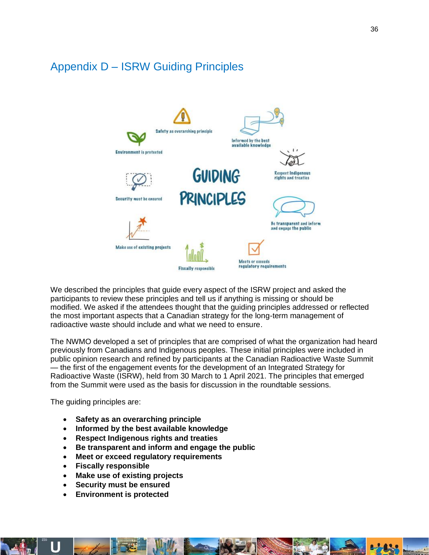### <span id="page-35-0"></span>Appendix D – ISRW Guiding Principles



We described the principles that guide every aspect of the ISRW project and asked the participants to review these principles and tell us if anything is missing or should be modified. We asked if the attendees thought that the guiding principles addressed or reflected the most important aspects that a Canadian strategy for the long-term management of radioactive waste should include and what we need to ensure.

The NWMO developed a set of principles that are comprised of what the organization had heard previously from Canadians and Indigenous peoples. These initial principles were included in public opinion research and refined by participants at the Canadian Radioactive Waste Summit — the first of the engagement events for the development of an Integrated Strategy for Radioactive Waste (ISRW), held from 30 March to 1 April 2021. The principles that emerged from the Summit were used as the basis for discussion in the roundtable sessions.

The guiding principles are:

- **Safety as an overarching principle**
- **Informed by the best available knowledge**
- **Respect Indigenous rights and treaties**
- **Be transparent and inform and engage the public**
- **Meet or exceed regulatory requirements**
- **Fiscally responsible**
- **Make use of existing projects**
- **Security must be ensured**
- **Environment is protected**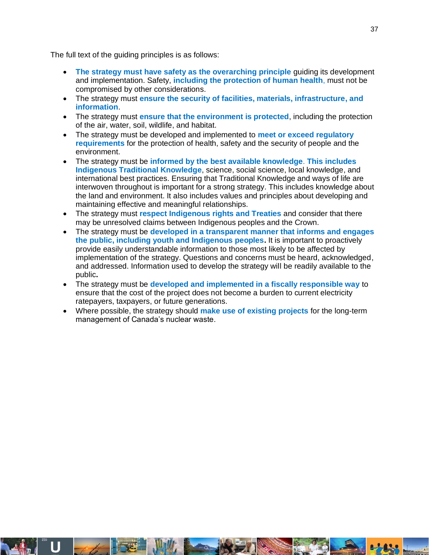The full text of the guiding principles is as follows:

- **The strategy must have safety as the overarching principle** guiding its development and implementation. Safety, **including the protection of human health**, must not be compromised by other considerations.
- The strategy must **ensure the security of facilities, materials, infrastructure, and information**.
- The strategy must **ensure that the environment is protected**, including the protection of the air, water, soil, wildlife, and habitat.
- The strategy must be developed and implemented to **meet or exceed regulatory requirements** for the protection of health, safety and the security of people and the environment.
- The strategy must be **informed by the best available knowledge**. **This includes Indigenous Traditional Knowledge**, science, social science, local knowledge, and international best practices. Ensuring that Traditional Knowledge and ways of life are interwoven throughout is important for a strong strategy. This includes knowledge about the land and environment. It also includes values and principles about developing and maintaining effective and meaningful relationships.
- The strategy must **respect Indigenous rights and Treaties** and consider that there may be unresolved claims between Indigenous peoples and the Crown.
- The strategy must be **developed in a transparent manner that informs and engages the public, including youth and Indigenous peoples.** It is important to proactively provide easily understandable information to those most likely to be affected by implementation of the strategy. Questions and concerns must be heard, acknowledged, and addressed. Information used to develop the strategy will be readily available to the public**.**
- The strategy must be **developed and implemented in a fiscally responsible way** to ensure that the cost of the project does not become a burden to current electricity ratepayers, taxpayers, or future generations.
- Where possible, the strategy should **make use of existing projects** for the long-term management of Canada's nuclear waste.

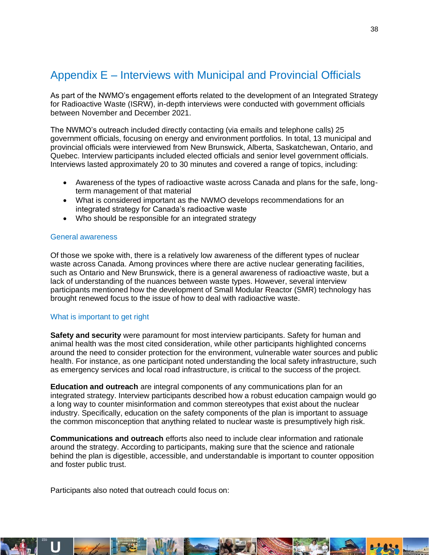### <span id="page-37-0"></span>Appendix E – Interviews with Municipal and Provincial Officials

As part of the NWMO's engagement efforts related to the development of an Integrated Strategy for Radioactive Waste (ISRW), in-depth interviews were conducted with government officials between November and December 2021.

The NWMO's outreach included directly contacting (via emails and telephone calls) 25 government officials, focusing on energy and environment portfolios. In total, 13 municipal and provincial officials were interviewed from New Brunswick, Alberta, Saskatchewan, Ontario, and Quebec. Interview participants included elected officials and senior level government officials. Interviews lasted approximately 20 to 30 minutes and covered a range of topics, including:

- Awareness of the types of radioactive waste across Canada and plans for the safe, longterm management of that material
- What is considered important as the NWMO develops recommendations for an integrated strategy for Canada's radioactive waste
- Who should be responsible for an integrated strategy

#### General awareness

Of those we spoke with, there is a relatively low awareness of the different types of nuclear waste across Canada. Among provinces where there are active nuclear generating facilities, such as Ontario and New Brunswick, there is a general awareness of radioactive waste, but a lack of understanding of the nuances between waste types. However, several interview participants mentioned how the development of Small Modular Reactor (SMR) technology has brought renewed focus to the issue of how to deal with radioactive waste.

#### What is important to get right

**Safety and security** were paramount for most interview participants. Safety for human and animal health was the most cited consideration, while other participants highlighted concerns around the need to consider protection for the environment, vulnerable water sources and public health. For instance, as one participant noted understanding the local safety infrastructure, such as emergency services and local road infrastructure, is critical to the success of the project.

**Education and outreach** are integral components of any communications plan for an integrated strategy. Interview participants described how a robust education campaign would go a long way to counter misinformation and common stereotypes that exist about the nuclear industry. Specifically, education on the safety components of the plan is important to assuage the common misconception that anything related to nuclear waste is presumptively high risk.

**Communications and outreach** efforts also need to include clear information and rationale around the strategy. According to participants, making sure that the science and rationale behind the plan is digestible, accessible, and understandable is important to counter opposition and foster public trust.

Participants also noted that outreach could focus on:

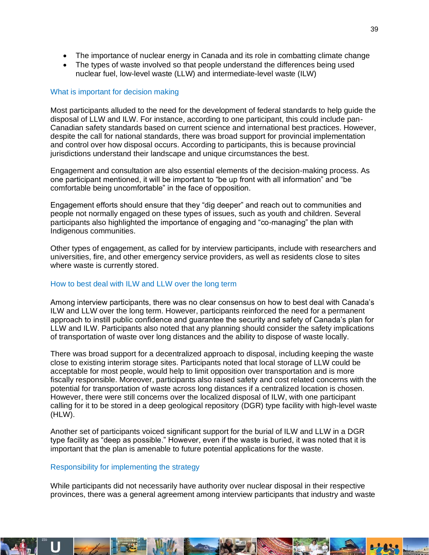- The importance of nuclear energy in Canada and its role in combatting climate change
- The types of waste involved so that people understand the differences being used nuclear fuel, low-level waste (LLW) and intermediate-level waste (ILW)

#### What is important for decision making

Most participants alluded to the need for the development of federal standards to help guide the disposal of LLW and ILW. For instance, according to one participant, this could include pan-Canadian safety standards based on current science and international best practices. However, despite the call for national standards, there was broad support for provincial implementation and control over how disposal occurs. According to participants, this is because provincial jurisdictions understand their landscape and unique circumstances the best.

Engagement and consultation are also essential elements of the decision-making process. As one participant mentioned, it will be important to "be up front with all information" and "be comfortable being uncomfortable" in the face of opposition.

Engagement efforts should ensure that they "dig deeper" and reach out to communities and people not normally engaged on these types of issues, such as youth and children. Several participants also highlighted the importance of engaging and "co-managing" the plan with Indigenous communities.

Other types of engagement, as called for by interview participants, include with researchers and universities, fire, and other emergency service providers, as well as residents close to sites where waste is currently stored.

#### How to best deal with ILW and LLW over the long term

Among interview participants, there was no clear consensus on how to best deal with Canada's ILW and LLW over the long term. However, participants reinforced the need for a permanent approach to instill public confidence and guarantee the security and safety of Canada's plan for LLW and ILW. Participants also noted that any planning should consider the safety implications of transportation of waste over long distances and the ability to dispose of waste locally.

There was broad support for a decentralized approach to disposal, including keeping the waste close to existing interim storage sites. Participants noted that local storage of LLW could be acceptable for most people, would help to limit opposition over transportation and is more fiscally responsible. Moreover, participants also raised safety and cost related concerns with the potential for transportation of waste across long distances if a centralized location is chosen. However, there were still concerns over the localized disposal of ILW, with one participant calling for it to be stored in a deep geological repository (DGR) type facility with high-level waste (HLW).

Another set of participants voiced significant support for the burial of ILW and LLW in a DGR type facility as "deep as possible." However, even if the waste is buried, it was noted that it is important that the plan is amenable to future potential applications for the waste.

#### Responsibility for implementing the strategy

While participants did not necessarily have authority over nuclear disposal in their respective provinces, there was a general agreement among interview participants that industry and waste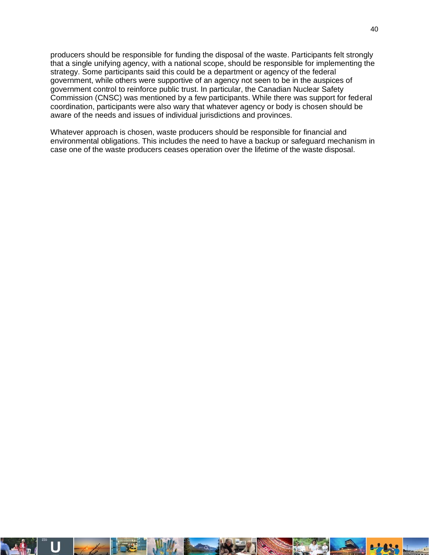producers should be responsible for funding the disposal of the waste. Participants felt strongly that a single unifying agency, with a national scope, should be responsible for implementing the strategy. Some participants said this could be a department or agency of the federal government, while others were supportive of an agency not seen to be in the auspices of government control to reinforce public trust. In particular, the Canadian Nuclear Safety Commission (CNSC) was mentioned by a few participants. While there was support for federal coordination, participants were also wary that whatever agency or body is chosen should be aware of the needs and issues of individual jurisdictions and provinces.

Whatever approach is chosen, waste producers should be responsible for financial and environmental obligations. This includes the need to have a backup or safeguard mechanism in case one of the waste producers ceases operation over the lifetime of the waste disposal.

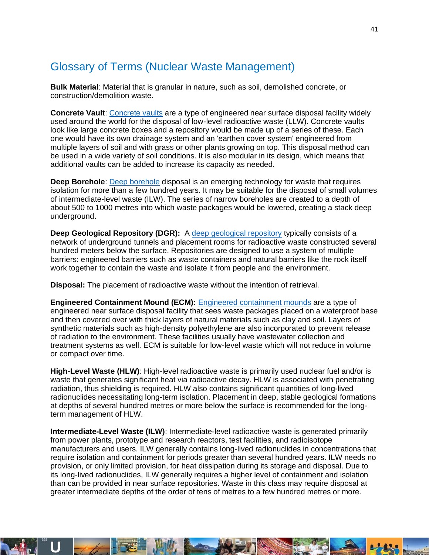### <span id="page-40-0"></span>Glossary of Terms (Nuclear Waste Management)

**Bulk Material**: Material that is granular in nature, such as soil, demolished concrete, or construction/demolition waste.

**Concrete Vault**[: Concrete vaults](https://radwasteplanning.ca/sites/default/files/concrete_vault_final_2021-03-23_0.pdf) are a type of engineered near surface disposal facility widely used around the world for the disposal of low-level radioactive waste (LLW). Concrete vaults look like large concrete boxes and a repository would be made up of a series of these. Each one would have its own drainage system and an 'earthen cover system' engineered from multiple layers of soil and with grass or other plants growing on top. This disposal method can be used in a wide variety of soil conditions. It is also modular in its design, which means that additional vaults can be added to increase its capacity as needed.

**Deep Borehole**[: Deep borehole](https://radwasteplanning.ca/sites/default/files/deep_borehole_final_2021-03-23.pdf) disposal is an emerging technology for waste that requires isolation for more than a few hundred years. It may be suitable for the disposal of small volumes of intermediate-level waste (ILW). The series of narrow boreholes are created to a depth of about 500 to 1000 metres into which waste packages would be lowered, creating a stack deep underground.

**Deep Geological Repository (DGR):** A [deep geological repository](https://radwasteplanning.ca/sites/default/files/deep_geologic_repository_final_2021-03-23.pdf) typically consists of a network of underground tunnels and placement rooms for radioactive waste constructed several hundred meters below the surface. Repositories are designed to use a system of multiple barriers: engineered barriers such as waste containers and natural barriers like the rock itself work together to contain the waste and isolate it from people and the environment.

**Disposal:** The placement of radioactive waste without the intention of retrieval.

**Engineered Containment Mound (ECM):** [Engineered containment mounds](https://radwasteplanning.ca/sites/default/files/engineered_containment_mound_final_2021-03-23.pdf) are a type of engineered near surface disposal facility that sees waste packages placed on a waterproof base and then covered over with thick layers of natural materials such as clay and soil. Layers of synthetic materials such as high-density polyethylene are also incorporated to prevent release of radiation to the environment. These facilities usually have wastewater collection and treatment systems as well. ECM is suitable for low-level waste which will not reduce in volume or compact over time.

**High-Level Waste (HLW)**: High-level radioactive waste is primarily used nuclear fuel and/or is waste that generates significant heat via radioactive decay. HLW is associated with penetrating radiation, thus shielding is required. HLW also contains significant quantities of long-lived radionuclides necessitating long-term isolation. Placement in deep, stable geological formations at depths of several hundred metres or more below the surface is recommended for the longterm management of HLW.

**Intermediate-Level Waste (ILW)**: Intermediate-level radioactive waste is generated primarily from power plants, prototype and research reactors, test facilities, and radioisotope manufacturers and users. ILW generally contains long-lived radionuclides in concentrations that require isolation and containment for periods greater than several hundred years. ILW needs no provision, or only limited provision, for heat dissipation during its storage and disposal. Due to its long-lived radionuclides, ILW generally requires a higher level of containment and isolation than can be provided in near surface repositories. Waste in this class may require disposal at greater intermediate depths of the order of tens of metres to a few hundred metres or more.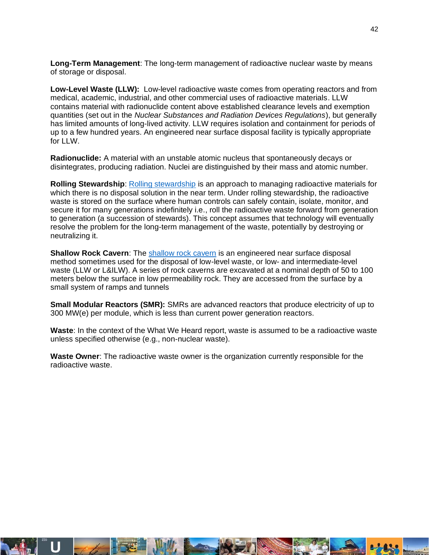**Long-Term Management**: The long-term management of radioactive nuclear waste by means of storage or disposal.

**Low-Level Waste (LLW):** Low-level radioactive waste comes from operating reactors and from medical, academic, industrial, and other commercial uses of radioactive materials. LLW contains material with radionuclide content above established clearance levels and exemption quantities (set out in the *Nuclear Substances and Radiation Devices Regulations*), but generally has limited amounts of long-lived activity. LLW requires isolation and containment for periods of up to a few hundred years. An engineered near surface disposal facility is typically appropriate for LLW.

**Radionuclide:** A material with an unstable atomic nucleus that spontaneously decays or disintegrates, producing radiation. Nuclei are distinguished by their mass and atomic number.

**Rolling Stewardship**: [Rolling stewardship](https://radwasteplanning.ca/sites/default/files/rolling_stewardship_final_2021-03-23.pdf) is an approach to managing radioactive materials for which there is no disposal solution in the near term. Under rolling stewardship, the radioactive waste is stored on the surface where human controls can safely contain, isolate, monitor, and secure it for many generations indefinitely i.e., roll the radioactive waste forward from generation to generation (a succession of stewards). This concept assumes that technology will eventually resolve the problem for the long-term management of the waste, potentially by destroying or neutralizing it.

**Shallow Rock Cavern**: The [shallow rock cavern](https://radwasteplanning.ca/sites/default/files/shallow_rock_cavern_final_2021-03-23.pdf) is an engineered near surface disposal method sometimes used for the disposal of low-level waste, or low- and intermediate-level waste (LLW or L&ILW). A series of rock caverns are excavated at a nominal depth of 50 to 100 meters below the surface in low permeability rock. They are accessed from the surface by a small system of ramps and tunnels

**Small Modular Reactors (SMR):** SMRs are advanced reactors that produce electricity of up to 300 MW(e) per module, which is less than current power generation reactors.

**Waste**: In the context of the What We Heard report, waste is assumed to be a radioactive waste unless specified otherwise (e.g., non-nuclear waste).

**Waste Owner**: The radioactive waste owner is the organization currently responsible for the radioactive waste.